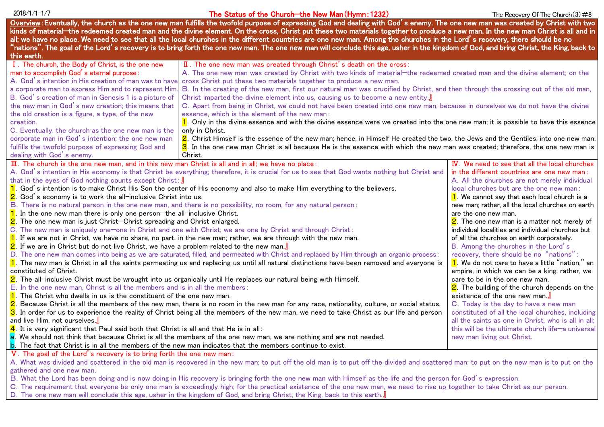## $2018/1/1-1/7$  The Status of the Church—the New Man (Hymn: 1232) The Recovery Of The Church(3) #8

|                                                                                                                                                                                 | Overview:Eventually, the church as the one new man fulfills the twofold purpose of expressing God and dealing with God's enemy. The one new man was created by Christ with two                                                                                                                                                                                     |                                                                                |
|---------------------------------------------------------------------------------------------------------------------------------------------------------------------------------|--------------------------------------------------------------------------------------------------------------------------------------------------------------------------------------------------------------------------------------------------------------------------------------------------------------------------------------------------------------------|--------------------------------------------------------------------------------|
|                                                                                                                                                                                 | kinds of material—the redeemed created man and the divine element. On the cross, Christ put these two materials together to produce a new man. In the new man Christ is all and in<br>all; we have no place. We need to see that all the local churches in the different countries are one new man. Among the churches in the Lord' s recovery, there should be no |                                                                                |
|                                                                                                                                                                                 | "nations". The goal of the Lord' s recovery is to bring forth the one new man. The one new man will conclude this age, usher in the kingdom of God, and bring Christ, the King, back to                                                                                                                                                                            |                                                                                |
| this earth.                                                                                                                                                                     |                                                                                                                                                                                                                                                                                                                                                                    |                                                                                |
| I. The church, the Body of Christ, is the one new                                                                                                                               | II. The one new man was created through Christ's death on the cross:                                                                                                                                                                                                                                                                                               |                                                                                |
| man to accomplish God's eternal purpose:                                                                                                                                        | A. The one new man was created by Christ with two kinds of material—the redeemed created man and the divine element; on the                                                                                                                                                                                                                                        |                                                                                |
| A. God's intention in His creation of man was to have                                                                                                                           | cross Christ put these two materials together to produce a new man.                                                                                                                                                                                                                                                                                                |                                                                                |
| a corporate man to express Him and to represent Him                                                                                                                             | B. In the creating of the new man, first our natural man was crucified by Christ, and then through the crossing out of the old man,                                                                                                                                                                                                                                |                                                                                |
| B. God's creation of man in Genesis 1 is a picture of                                                                                                                           | Christ imparted the divine element into us, causing us to become a new entity.                                                                                                                                                                                                                                                                                     |                                                                                |
| the new man in God's new creation; this means that                                                                                                                              | C. Apart from being in Christ, we could not have been created into one new man, because in ourselves we do not have the divine                                                                                                                                                                                                                                     |                                                                                |
| the old creation is a figure, a type, of the new                                                                                                                                | essence, which is the element of the new man:                                                                                                                                                                                                                                                                                                                      |                                                                                |
| creation.                                                                                                                                                                       | 1. Only in the divine essence and with the divine essence were we created into the one new man; it is possible to have this essence                                                                                                                                                                                                                                |                                                                                |
| C. Eventually, the church as the one new man is the                                                                                                                             | only in Christ.                                                                                                                                                                                                                                                                                                                                                    |                                                                                |
| corporate man in God's intention; the one new man                                                                                                                               | 2. Christ Himself is the essence of the new man; hence, in Himself He created the two, the Jews and the Gentiles, into one new man.                                                                                                                                                                                                                                |                                                                                |
| fulfills the twofold purpose of expressing God and                                                                                                                              | 3. In the one new man Christ is all because He is the essence with which the new man was created; therefore, the one new man is                                                                                                                                                                                                                                    |                                                                                |
| dealing with God's enemy.                                                                                                                                                       | Christ.                                                                                                                                                                                                                                                                                                                                                            |                                                                                |
| $\overline{II}$ . The church is the one new man, and in this new man Christ is all and in all; we have no place:                                                                |                                                                                                                                                                                                                                                                                                                                                                    | IV. We need to see that all the local churches                                 |
|                                                                                                                                                                                 | A. God's intention in His economy is that Christ be everything; therefore, it is crucial for us to see that God wants nothing but Christ and                                                                                                                                                                                                                       | in the different countries are one new man:                                    |
| that in the eyes of God nothing counts except ${\sf Christ}$ : $\rfloor$                                                                                                        |                                                                                                                                                                                                                                                                                                                                                                    | A. All the churches are not merely individual                                  |
| 1. God's intention is to make Christ His Son the center of His economy and also to make Him everything to the believers.                                                        |                                                                                                                                                                                                                                                                                                                                                                    | local churches but are the one new man:                                        |
| 2. God's economy is to work the all-inclusive Christ into us.                                                                                                                   |                                                                                                                                                                                                                                                                                                                                                                    | 1. We cannot say that each local church is a                                   |
| B. There is no natural person in the one new man, and there is no possibility, no room, for any natural person:                                                                 |                                                                                                                                                                                                                                                                                                                                                                    | new man; rather, all the local churches on earth                               |
| 1. In the one new man there is only one person—the all-inclusive Christ.                                                                                                        |                                                                                                                                                                                                                                                                                                                                                                    | are the one new man.                                                           |
| 2. The one new man is just Christ—Christ spreading and Christ enlarged.                                                                                                         |                                                                                                                                                                                                                                                                                                                                                                    | 2. The one new man is a matter not merely of                                   |
| C. The new man is uniquely one—one in Christ and one with Christ; we are one by Christ and through Christ:                                                                      |                                                                                                                                                                                                                                                                                                                                                                    | individual localities and individual churches but                              |
| $1$ . If we are not in Christ, we have no share, no part, in the new man; rather, we are through with the new man.                                                              |                                                                                                                                                                                                                                                                                                                                                                    | of all the churches on earth corporately.                                      |
| $\overline{\mathbf{2}}$ . If we are in Christ but do not live Christ, we have a problem related to the new man.』                                                                |                                                                                                                                                                                                                                                                                                                                                                    | B. Among the churches in the Lord's                                            |
| D. The one new man comes into being as we are saturated, filled, and permeated with Christ and replaced by Him through an organic process:                                      |                                                                                                                                                                                                                                                                                                                                                                    | recovery, there should be no "nations":                                        |
| 1. The new man is Christ in all the saints permeating us and replacing us until all natural distinctions have been removed and everyone is                                      |                                                                                                                                                                                                                                                                                                                                                                    | 1. We do not care to have a little "nation," an                                |
| constituted of Christ.                                                                                                                                                          |                                                                                                                                                                                                                                                                                                                                                                    | empire, in which we can be a king; rather, we                                  |
| 2. The all-inclusive Christ must be wrought into us organically until He replaces our natural being with Himself.                                                               |                                                                                                                                                                                                                                                                                                                                                                    | care to be in the one new man.<br>2. The building of the church depends on the |
| E. In the one new man, Christ is all the members and is in all the members:<br><mark>1</mark> . The Christ who dwells in us is the constituent of the one new man.              |                                                                                                                                                                                                                                                                                                                                                                    | existence of the one new man.                                                  |
| $\overline{\bf 2}$ . Because Christ is all the members of the new man, there is no room in the new man for any race, nationality, culture, or social status.                    |                                                                                                                                                                                                                                                                                                                                                                    | C. Today is the day to have a new man                                          |
| $\overline{\bf 3}$ . In order for us to experience the reality of Christ being all the members of the new man, we need to take Christ as our life and person                    |                                                                                                                                                                                                                                                                                                                                                                    | constituted of all the local churches, including                               |
| and live Him, not ourselves. $\rfloor\!\!\rfloor$                                                                                                                               |                                                                                                                                                                                                                                                                                                                                                                    | all the saints as one in Christ, who is all in all;                            |
| $\frac{4}{5}$ . It is very significant that Paul said both that Christ is all and that He is in all:                                                                            |                                                                                                                                                                                                                                                                                                                                                                    | this will be the ultimate church life-a universal                              |
|                                                                                                                                                                                 | a. We should not think that because Christ is all the members of the one new man, we are nothing and are not needed.                                                                                                                                                                                                                                               | new man living out Christ.                                                     |
| b. The fact that Christ is in all the members of the new man indicates that the members continue to exist.                                                                      |                                                                                                                                                                                                                                                                                                                                                                    |                                                                                |
| V. The goal of the Lord's recovery is to bring forth the one new man:                                                                                                           |                                                                                                                                                                                                                                                                                                                                                                    |                                                                                |
|                                                                                                                                                                                 | A. What was divided and scattered in the old man is recovered in the new man; to put off the old man is to put off the divided and scattered man; to put on the new man is to put on the                                                                                                                                                                           |                                                                                |
| gathered and one new man.                                                                                                                                                       |                                                                                                                                                                                                                                                                                                                                                                    |                                                                                |
|                                                                                                                                                                                 | B. What the Lord has been doing and is now doing in His recovery is bringing forth the one new man with Himself as the life and the person for God's expression.                                                                                                                                                                                                   |                                                                                |
| C. The requirement that everyone be only one man is exceedingly high; for the practical existence of the one new man, we need to rise up together to take Christ as our person. |                                                                                                                                                                                                                                                                                                                                                                    |                                                                                |
|                                                                                                                                                                                 | D. The one new man will conclude this age, usher in the kingdom of God, and bring Christ, the King, back to this earth. $\mathsf{J}$                                                                                                                                                                                                                               |                                                                                |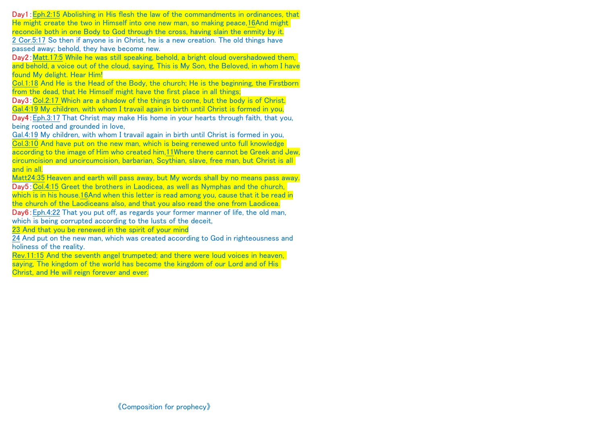Day1: Eph.2:15 Abolishing in His flesh the law of the commandments in ordinances, that He might create the two in Himself into one new man, so making peace,16And might reconcile both in one Body to God through the cross, having slain the enmity by it.

2 Cor.5:17 So then if anyone is in Christ, he is a new creation. The old things have passed away; behold, they have become new.

Day2: Matt.17:5 While he was still speaking, behold, a bright cloud overshadowed them. and behold, a voice out of the cloud, saying, This is My Son, the Beloved, in whom I have found My delight. Hear Him!

Col.1:18 And He is the Head of the Body, the church; He is the beginning, the Firstborn from the dead, that He Himself might have the first place in all things;

Day3: Col.2:17 Which are a shadow of the things to come, but the body is of Christ. Gal.4:19 My children, with whom I travail again in birth until Christ is formed in you, Day4:Eph.3:17 That Christ may make His home in your hearts through faith, that you,

being rooted and grounded in love,

Gal.4:19 My children, with whom I travail again in birth until Christ is formed in you, Col.3:10 And have put on the new man, which is being renewed unto full knowledge according to the image of Him who created him,11Where there cannot be Greek and Jew, circumcision and uncircumcision, barbarian, Scythian, slave, free man, but Christ is all and in all.

Matt24:35 Heaven and earth will pass away, but My words shall by no means pass away. Day5:Col.4:15 Greet the brothers in Laodicea, as well as Nymphas and the church, which is in his house.16And when this letter is read among you, cause that it be read in the church of the Laodiceans also, and that you also read the one from Laodicea.

Day6: Eph.4:22 That you put off, as regards your former manner of life, the old man, which is being corrupted according to the lusts of the deceit.

23 And that you be renewed in the spirit of your mind

24 And put on the new man, which was created according to God in righteousness and holiness of the reality.

Rev.11:15 And the seventh angel trumpeted; and there were loud voices in heaven, saying, The kingdom of the world has become the kingdom of our Lord and of His Christ, and He will reign forever and ever.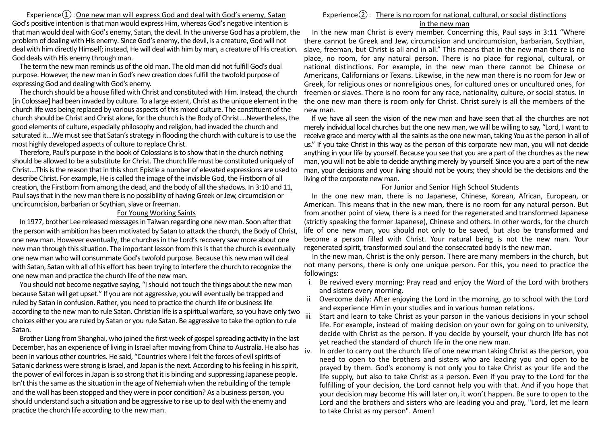Experience $\Omega$ : One new man will express God and deal with God's enemy, Satan God's positive intention is that man would express Him, whereas God's negative intention is that man would deal with God's enemy, Satan, the devil. In the universe God has a problem, the problem of dealing with His enemy. Since God's enemy, the devil, is a creature, God will not deal with him directly Himself; instead, He will deal with him by man, a creature of His creation. God deals with His enemy through man.

The term the new man reminds us of the old man. The old man did not fulfill God's dual purpose. However, the new man in God's new creation does fulfill the twofold purpose of expressing God and dealing with God's enemy.

The church should be a house filled with Christ and constituted with Him. Instead, the church [in Colossae] had been invaded by culture. To a large extent, Christ as the unique element in the church life was being replaced by various aspects of this mixed culture. The constituent of the church should be Christ and Christ alone, for the church is the Body of Christ....Nevertheless, the good elements of culture, especially philosophy and religion, had invaded the church and saturated it....We must see that Satan's strategy in flooding the church with culture is to use the most highly developed aspects of culture to replace Christ.

Therefore, Paul's purpose in the book of Colossians is to show that in the church nothing should be allowed to be a substitute for Christ. The church life must be constituted uniquely of Christ....This is the reason that in this short Epistle a number of elevated expressions are used to describe Christ. For example, He is called the image of the invisible God, the Firstborn of all creation, the Firstborn from among the dead, and the body of all the shadows. In 3:10 and 11, Paul says that in the new man there is no possibility of having Greek or Jew, circumcision or uncircumcision, barbarian or Scythian, slave or freeman.

### For Young Working Saints

In 1977, brother Lee released messagesin Taiwan regarding one new man. Soon after that the person with ambition has been motivated by Satan to attack the church, the Body of Christ, one new man. However eventually, the churches in the Lord's recovery saw more about one new man through this situation. The important lesson from this is that the church is eventually one new man who will consummate God's twofold purpose. Because this new man will deal with Satan, Satan with all of his effort has been trying to interfere the church to recognize the one new man and practice the church life of the new man.

You should not become negative saying, "I should not touch the things about the new man because Satan will get upset." If you are not aggressive, you will eventually be trapped and ruled by Satan in confusion. Rather, you need to practice the church life or business life according to the new man to rule Satan. Christian life is a spiritual warfare, so you have only two choices either you are ruled by Satan or you rule Satan. Be aggressive to take the option to rule Satan.

Brother Liang from Shanghai, who joined the first week of gospel spreading activity in the last December, has an experience of living in Israel after moving from China to Australia. He also has iv been in various other countries. He said, "Countries where I felt the forces of evil spirits of Satanic darkness were strong is Israel, and Japan is the next. According to his feeling in his spirit, the power of evil forces in Japan is so strong that it is binding and suppressing Japanese people. Isn't this the same as the situation in the age of Nehemiah when the rebuilding of the temple and the wall has been stopped and they were in poor condition? As a business person, you should understand such a situation and be aggressive to rise up to deal with the enemy and practice the church life according to the new man.

# Experience $(2)$ : There is no room for national, cultural, or social distinctions

## in the new man

In the new man Christ is every member. Concerning this, Paul says in 3:11 "Where there cannot be Greek and Jew, circumcision and uncircumcision, barbarian, Scythian, slave, freeman, but Christ is all and in all." This means that in the new man there is no place, no room, for any natural person. There is no place for regional, cultural, or national distinctions. For example, in the new man there cannot be Chinese or Americans, Californians or Texans. Likewise, in the new man there is no room for Jew or Greek, for religious ones or nonreligious ones, for cultured ones or uncultured ones, for freemen or slaves. There is no room for any race, nationality, culture, or social status. In the one new man there is room only for Christ. Christ surely is all the members of the new man.

If we have all seen the vision of the new man and have seen that all the churches are not merely individual local churches but the one new man, we will be willing to say, "Lord, I want to receive grace and mercy with all the saints as the one new man, taking You as the person in all of us." If you take Christ in this way as the person of this corporate new man, you will not decide anything in your life by yourself. Because you see that you are a part of the churches as the new man, you will not be able to decide anything merely by yourself. Since you are a part of the new man, your decisions and your living should not be yours; they should be the decisions and the living of the corporate new man.

#### For Junior and Senior High School Students

In the one new man, there is no Japanese, Chinese, Korean, African, European, or American. This means that in the new man, there is no room for any natural person. But from another point of view, there is a need for the regenerated and transformed Japanese (strictly speaking the former Japanese), Chinese and others. In other words, for the church life of one new man, you should not only to be saved, but also be transformed and become a person filled with Christ. Your natural being is not the new man. Your regenerated spirit, transformed soul and the consecrated body is the new man.

In the new man, Christ is the only person. There are many members in the church, but not many persons, there is only one unique person. For this, you need to practice the followings:

- i. Be revived every morning: Pray read and enjoy the Word of the Lord with brothers and sisters every morning.
- ii. Overcome daily: After enjoying the Lord in the morning, go to school with the Lord and experience Him in your studies and in various human relations.
- iii. Start and learn to take Christ as your parson in the various decisions in your school life. For example, instead of making decision on your own for going on to university, decide with Christ as the person. If you decide by yourself, your church life has not yet reached the standard of church life in the one new man.
	- In order to carry out the church life of one new man taking Christ as the person, you need to open to the brothers and sisters who are leading you and open to be prayed by them. God's economy is not only you to take Christ as your life and the life supply, but also to take Christ as a person. Even if you pray to the Lord for the fulfilling of your decision, the Lord cannot help you with that. And if you hope that your decision may become His will later on, it won't happen. Be sure to open to the Lord and the brothers and sisters who are leading you and pray, "Lord, let me learn to take Christ as my person". Amen!